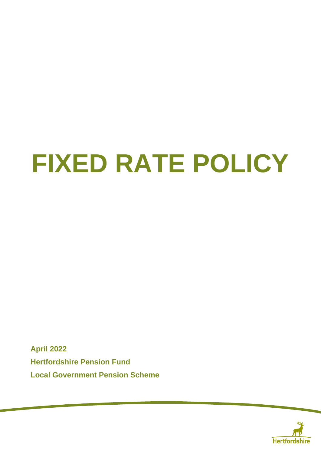# **FIXED RATE POLICY**

**April 2022 Hertfordshire Pension Fund Local Government Pension Scheme**

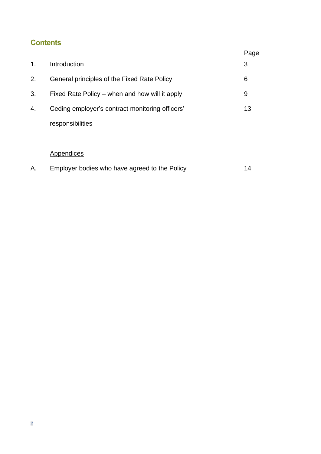## **Contents**

|    |                                                 | Page |
|----|-------------------------------------------------|------|
| 1. | Introduction                                    | 3    |
| 2. | General principles of the Fixed Rate Policy     | 6    |
| 3. | Fixed Rate Policy – when and how will it apply  | 9    |
| 4. | Ceding employer's contract monitoring officers' | 13   |
|    | responsibilities                                |      |
|    |                                                 |      |

#### **Appendices**

| Α. | Employer bodies who have agreed to the Policy |  |
|----|-----------------------------------------------|--|
|----|-----------------------------------------------|--|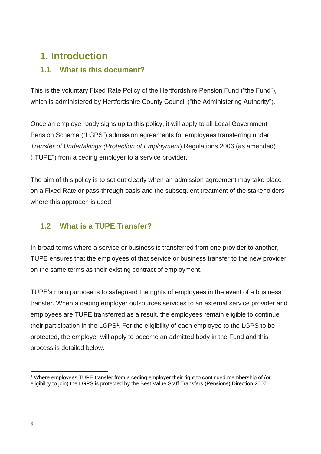## **1. Introduction**

## **1.1 What is this document?**

This is the voluntary Fixed Rate Policy of the Hertfordshire Pension Fund ("the Fund"), which is administered by Hertfordshire County Council ("the Administering Authority").

Once an employer body signs up to this policy, it will apply to all Local Government Pension Scheme ("LGPS") admission agreements for employees transferring under *Transfer of Undertakings (Protection of Employment*) Regulations 2006 (as amended) ("TUPE") from a ceding employer to a service provider.

The aim of this policy is to set out clearly when an admission agreement may take place on a Fixed Rate or pass-through basis and the subsequent treatment of the stakeholders where this approach is used.

## **1.2 What is a TUPE Transfer?**

In broad terms where a service or business is transferred from one provider to another, TUPE ensures that the employees of that service or business transfer to the new provider on the same terms as their existing contract of employment.

TUPE's main purpose is to safeguard the rights of employees in the event of a business transfer. When a ceding employer outsources services to an external service provider and employees are TUPE transferred as a result, the employees remain eligible to continue their participation in the LGPS<sup>1</sup>. For the eligibility of each employee to the LGPS to be protected, the employer will apply to become an admitted body in the Fund and this process is detailed below.

<sup>1</sup> Where employees TUPE transfer from a ceding employer their right to continued membership of (or eligibility to join) the LGPS is protected by the Best Value Staff Transfers (Pensions) Direction 2007.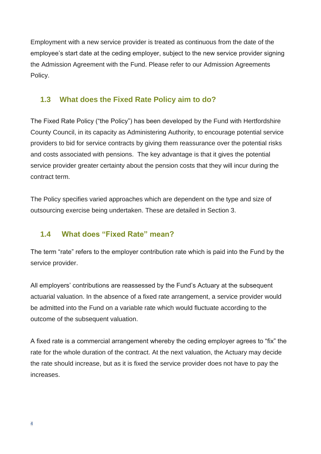Employment with a new service provider is treated as continuous from the date of the employee's start date at the ceding employer, subject to the new service provider signing the Admission Agreement with the Fund. Please refer to our Admission Agreements Policy.

## **1.3 What does the Fixed Rate Policy aim to do?**

The Fixed Rate Policy ("the Policy") has been developed by the Fund with Hertfordshire County Council, in its capacity as Administering Authority, to encourage potential service providers to bid for service contracts by giving them reassurance over the potential risks and costs associated with pensions. The key advantage is that it gives the potential service provider greater certainty about the pension costs that they will incur during the contract term.

The Policy specifies varied approaches which are dependent on the type and size of outsourcing exercise being undertaken. These are detailed in Section 3.

## **1.4 What does "Fixed Rate" mean?**

The term "rate" refers to the employer contribution rate which is paid into the Fund by the service provider.

All employers' contributions are reassessed by the Fund's Actuary at the subsequent actuarial valuation. In the absence of a fixed rate arrangement, a service provider would be admitted into the Fund on a variable rate which would fluctuate according to the outcome of the subsequent valuation.

A fixed rate is a commercial arrangement whereby the ceding employer agrees to "fix" the rate for the whole duration of the contract. At the next valuation, the Actuary may decide the rate should increase, but as it is fixed the service provider does not have to pay the increases.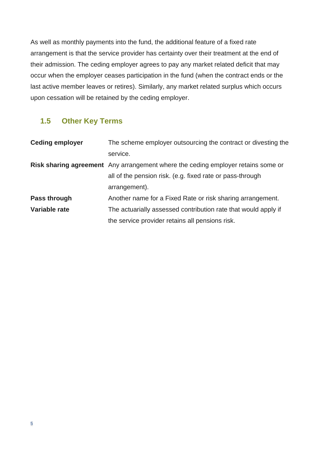As well as monthly payments into the fund, the additional feature of a fixed rate arrangement is that the service provider has certainty over their treatment at the end of their admission. The ceding employer agrees to pay any market related deficit that may occur when the employer ceases participation in the fund (when the contract ends or the last active member leaves or retires). Similarly, any market related surplus which occurs upon cessation will be retained by the ceding employer.

## **1.5 Other Key Terms**

| <b>Ceding employer</b> | The scheme employer outsourcing the contract or divesting the                    |
|------------------------|----------------------------------------------------------------------------------|
|                        | service.                                                                         |
|                        | Risk sharing agreement Any arrangement where the ceding employer retains some or |
|                        | all of the pension risk. (e.g. fixed rate or pass-through                        |
|                        | arrangement).                                                                    |
| Pass through           | Another name for a Fixed Rate or risk sharing arrangement.                       |
| Variable rate          | The actuarially assessed contribution rate that would apply if                   |
|                        | the service provider retains all pensions risk.                                  |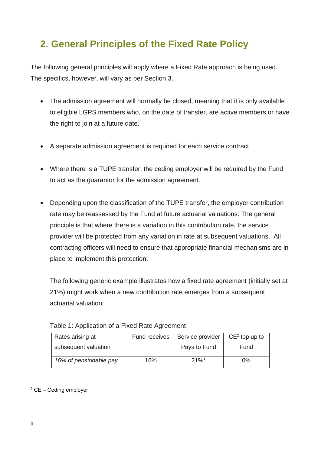## **2. General Principles of the Fixed Rate Policy**

The following general principles will apply where a Fixed Rate approach is being used. The specifics, however, will vary as per Section 3.

- The admission agreement will normally be closed, meaning that it is only available to eligible LGPS members who, on the date of transfer, are active members or have the right to join at a future date.
- A separate admission agreement is required for each service contract.
- Where there is a TUPE transfer, the ceding employer will be required by the Fund to act as the guarantor for the admission agreement.
- Depending upon the classification of the TUPE transfer, the employer contribution rate may be reassessed by the Fund at future actuarial valuations. The general principle is that where there is a variation in this contribution rate, the service provider will be protected from any variation in rate at subsequent valuations. All contracting officers will need to ensure that appropriate financial mechanisms are in place to implement this protection.

The following generic example illustrates how a fixed rate agreement (initially set at 21%) might work when a new contribution rate emerges from a subsequent actuarial valuation:

| Rates arising at       | Fund receives | Service provider | $CE2$ top up to |
|------------------------|---------------|------------------|-----------------|
| subsequent valuation   |               | Pays to Fund     | Fund            |
| 16% of pensionable pay | 16%           | $21\%$ *         | $0\%$           |

Table 1: Application of a Fixed Rate Agreement

<sup>2</sup> CE – Ceding employer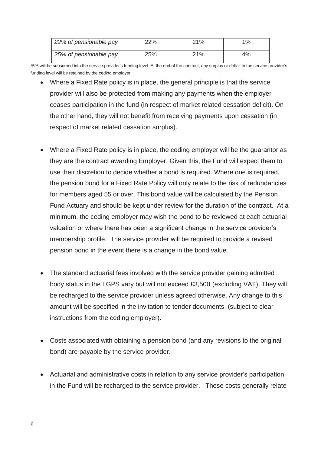| 22% of pensionable pay | 22% | 21% | $1\%$ |
|------------------------|-----|-----|-------|
| 25% of pensionable pay | 25% | 21% | 4%    |

\*5% will be subsumed into the service provider's funding level. At the end of the contract, any surplus or deficit in the service provider's funding level will be retained by the ceding employer.

- Where a Fixed Rate policy is in place, the general principle is that the service provider will also be protected from making any payments when the employer ceases participation in the fund (in respect of market related cessation deficit). On the other hand, they will not benefit from receiving payments upon cessation (in respect of market related cessation surplus).
- Where a Fixed Rate policy is in place, the ceding employer will be the guarantor as they are the contract awarding Employer. Given this, the Fund will expect them to use their discretion to decide whether a bond is required. Where one is required, the pension bond for a Fixed Rate Policy will only relate to the risk of redundancies for members aged 55 or over. This bond value will be calculated by the Pension Fund Actuary and should be kept under review for the duration of the contract. At a minimum, the ceding employer may wish the bond to be reviewed at each actuarial valuation or where there has been a significant change in the service provider's membership profile. The service provider will be required to provide a revised pension bond in the event there is a change in the bond value.
- The standard actuarial fees involved with the service provider gaining admitted body status in the LGPS vary but will not exceed £3,500 (excluding VAT). They will be recharged to the service provider unless agreed otherwise. Any change to this amount will be specified in the invitation to tender documents, (subject to clear instructions from the ceding employer).
- Costs associated with obtaining a pension bond (and any revisions to the original bond) are payable by the service provider.
- Actuarial and administrative costs in relation to any service provider's participation in the Fund will be recharged to the service provider. These costs generally relate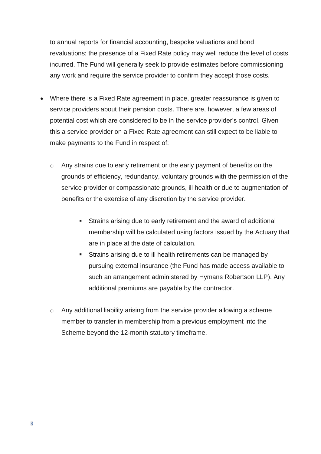to annual reports for financial accounting, bespoke valuations and bond revaluations; the presence of a Fixed Rate policy may well reduce the level of costs incurred. The Fund will generally seek to provide estimates before commissioning any work and require the service provider to confirm they accept those costs.

- Where there is a Fixed Rate agreement in place, greater reassurance is given to service providers about their pension costs. There are, however, a few areas of potential cost which are considered to be in the service provider's control. Given this a service provider on a Fixed Rate agreement can still expect to be liable to make payments to the Fund in respect of:
	- o Any strains due to early retirement or the early payment of benefits on the grounds of efficiency, redundancy, voluntary grounds with the permission of the service provider or compassionate grounds, ill health or due to augmentation of benefits or the exercise of any discretion by the service provider.
		- **EXTERNIM** Strains arising due to early retirement and the award of additional membership will be calculated using factors issued by the Actuary that are in place at the date of calculation.
		- **EXTERUM** Strains arising due to ill health retirements can be managed by pursuing external insurance (the Fund has made access available to such an arrangement administered by Hymans Robertson LLP). Any additional premiums are payable by the contractor.
	- $\circ$  Any additional liability arising from the service provider allowing a scheme member to transfer in membership from a previous employment into the Scheme beyond the 12-month statutory timeframe.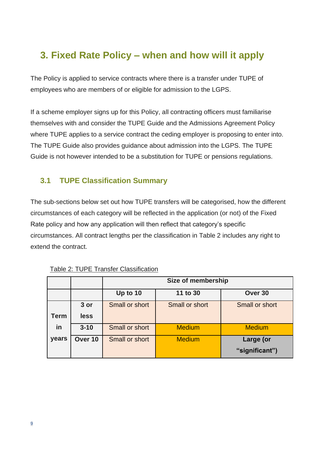## **3. Fixed Rate Policy – when and how will it apply**

The Policy is applied to service contracts where there is a transfer under TUPE of employees who are members of or eligible for admission to the LGPS.

If a scheme employer signs up for this Policy, all contracting officers must familiarise themselves with and consider the TUPE Guide and the Admissions Agreement Policy where TUPE applies to a service contract the ceding employer is proposing to enter into. The TUPE Guide also provides guidance about admission into the LGPS. The TUPE Guide is not however intended to be a substitution for TUPE or pensions regulations.

## **3.1 TUPE Classification Summary**

The sub-sections below set out how TUPE transfers will be categorised, how the different circumstances of each category will be reflected in the application (or not) of the Fixed Rate policy and how any application will then reflect that category's specific circumstances. All contract lengths per the classification in Table 2 includes any right to extend the contract.

|             |          |                | Size of membership |                |
|-------------|----------|----------------|--------------------|----------------|
|             |          | Up to 10       | 11 to 30           | Over 30        |
|             | 3 or     | Small or short | Small or short     | Small or short |
| <b>Term</b> | less     |                |                    |                |
| in          | $3 - 10$ | Small or short | <b>Medium</b>      | <b>Medium</b>  |
| years       | Over 10  | Small or short | <b>Medium</b>      | Large (or      |
|             |          |                |                    | "significant") |

| Table 2: TUPE Transfer Classification |
|---------------------------------------|
|---------------------------------------|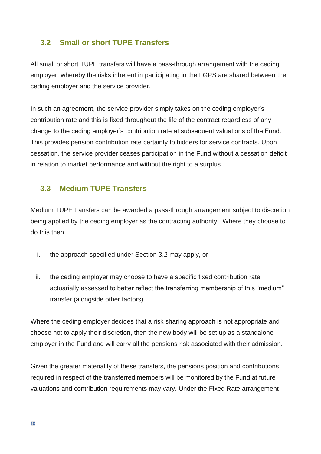#### **3.2 Small or short TUPE Transfers**

All small or short TUPE transfers will have a pass-through arrangement with the ceding employer, whereby the risks inherent in participating in the LGPS are shared between the ceding employer and the service provider.

In such an agreement, the service provider simply takes on the ceding employer's contribution rate and this is fixed throughout the life of the contract regardless of any change to the ceding employer's contribution rate at subsequent valuations of the Fund. This provides pension contribution rate certainty to bidders for service contracts. Upon cessation, the service provider ceases participation in the Fund without a cessation deficit in relation to market performance and without the right to a surplus.

#### **3.3 Medium TUPE Transfers**

Medium TUPE transfers can be awarded a pass-through arrangement subject to discretion being applied by the ceding employer as the contracting authority. Where they choose to do this then

- i. the approach specified under Section 3.2 may apply, or
- ii. the ceding employer may choose to have a specific fixed contribution rate actuarially assessed to better reflect the transferring membership of this "medium" transfer (alongside other factors).

Where the ceding employer decides that a risk sharing approach is not appropriate and choose not to apply their discretion, then the new body will be set up as a standalone employer in the Fund and will carry all the pensions risk associated with their admission.

Given the greater materiality of these transfers, the pensions position and contributions required in respect of the transferred members will be monitored by the Fund at future valuations and contribution requirements may vary. Under the Fixed Rate arrangement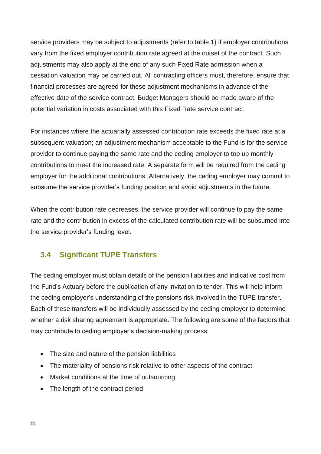service providers may be subject to adjustments (refer to table 1) if employer contributions vary from the fixed employer contribution rate agreed at the outset of the contract. Such adjustments may also apply at the end of any such Fixed Rate admission when a cessation valuation may be carried out. All contracting officers must, therefore, ensure that financial processes are agreed for these adjustment mechanisms in advance of the effective date of the service contract. Budget Managers should be made aware of the potential variation in costs associated with this Fixed Rate service contract.

For instances where the actuarially assessed contribution rate exceeds the fixed rate at a subsequent valuation; an adjustment mechanism acceptable to the Fund is for the service provider to continue paying the same rate and the ceding employer to top up monthly contributions to meet the increased rate. A separate form will be required from the ceding employer for the additional contributions. Alternatively, the ceding employer may commit to subsume the service provider's funding position and avoid adjustments in the future.

When the contribution rate decreases, the service provider will continue to pay the same rate and the contribution in excess of the calculated contribution rate will be subsumed into the service provider's funding level.

#### **3.4 Significant TUPE Transfers**

The ceding employer must obtain details of the pension liabilities and indicative cost from the Fund's Actuary before the publication of any invitation to tender. This will help inform the ceding employer's understanding of the pensions risk involved in the TUPE transfer. Each of these transfers will be individually assessed by the ceding employer to determine whether a risk sharing agreement is appropriate. The following are some of the factors that may contribute to ceding employer's decision-making process:

- The size and nature of the pension liabilities
- The materiality of pensions risk relative to other aspects of the contract
- Market conditions at the time of outsourcing
- The length of the contract period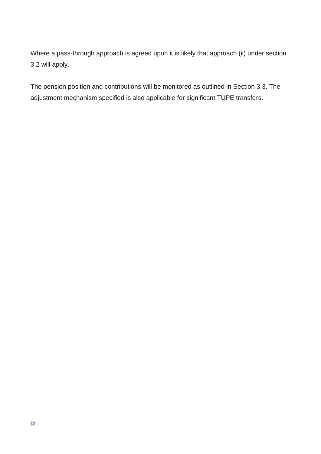Where a pass-through approach is agreed upon it is likely that approach (ii) under section 3.2 will apply.

The pension position and contributions will be monitored as outlined in Section 3.3. The adjustment mechanism specified is also applicable for significant TUPE transfers.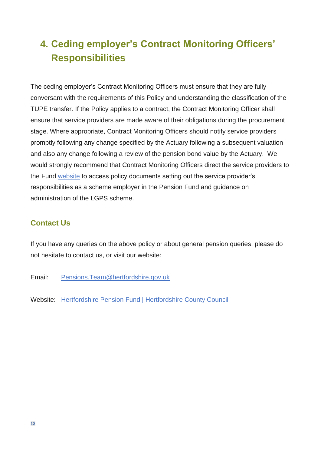## **4. Ceding employer's Contract Monitoring Officers' Responsibilities**

The ceding employer's Contract Monitoring Officers must ensure that they are fully conversant with the requirements of this Policy and understanding the classification of the TUPE transfer. If the Policy applies to a contract, the Contract Monitoring Officer shall ensure that service providers are made aware of their obligations during the procurement stage. Where appropriate, Contract Monitoring Officers should notify service providers promptly following any change specified by the Actuary following a subsequent valuation and also any change following a review of the pension bond value by the Actuary. We would strongly recommend that Contract Monitoring Officers direct the service providers to the Fund [website](http://www.yourpension.org.uk/Hertfordshire/Fund-information/Policy-statements.aspx) to access policy documents setting out the service provider's responsibilities as a scheme employer in the Pension Fund and guidance on administration of the LGPS scheme.

## **Contact Us**

If you have any queries on the above policy or about general pension queries, please do not hesitate to contact us, or visit our website:

- Email: [Pensions.Team@hertfordshire.gov.uk](mailto:Pensions.Team@hertfordshire.gov.uk)
- Website: [Hertfordshire Pension Fund | Hertfordshire County Council](https://www.hertfordshire.gov.uk/about-the-council/freedom-of-information-and-council-data/open-data-statistics-about-hertfordshire/hertfordshire-pension-fund.aspx)